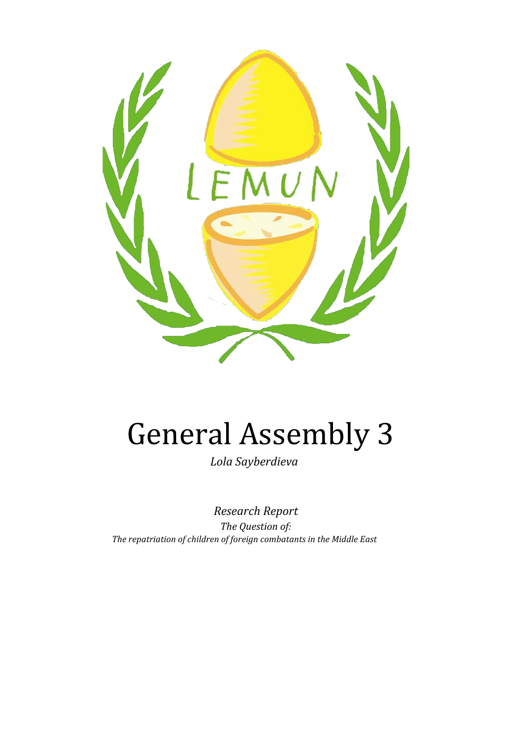

# General Assembly 3

*Lola Sayberdieva*

*Research Report The Question of: The repatriation of children of foreign combatants in the Middle East*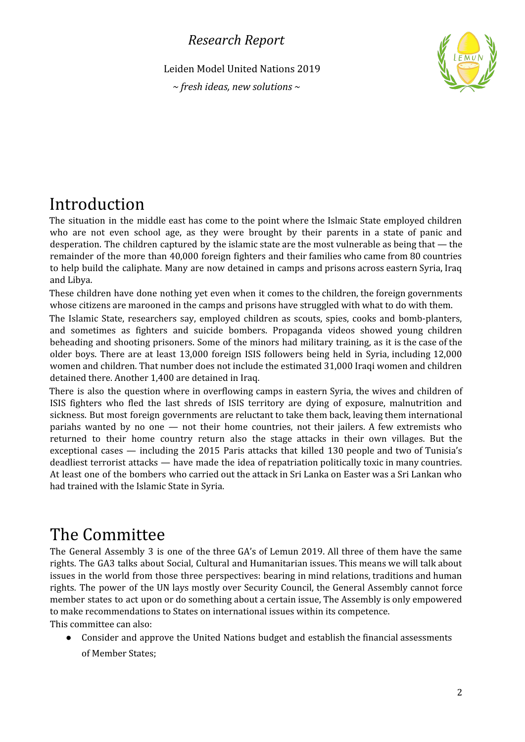Leiden Model United Nations 2019

*~ fresh ideas, new solutions ~*



# Introduction

The situation in the middle east has come to the point where the Islmaic State employed children who are not even school age, as they were brought by their parents in a state of panic and desperation. The children captured by the islamic state are the most vulnerable as being that — the remainder of the more than 40,000 foreign fighters and their families who came from 80 countries to help build the caliphate. Many are now detained in camps and prisons across eastern Syria, Iraq and Libya.

These children have done nothing yet even when it comes to the children, the foreign governments whose citizens are marooned in the camps and prisons have struggled with what to do with them.

The Islamic State, researchers say, employed children as scouts, spies, cooks and bomb-planters, and sometimes as fighters and suicide bombers. Propaganda videos showed young children beheading and shooting prisoners. Some of the minors had military training, as it is the case of the older boys. There are at least 13,000 foreign ISIS followers being held in Syria, including 12,000 women and children. That number does not include the estimated 31,000 Iraqi women and children detained there. Another 1,400 are detained in Iraq.

There is also the question where in [overflowing](https://www.nytimes.com/2019/03/29/world/middleeast/isis-syria-women-children.html?module=inline) camps in eastern Syria, the wives and children of ISIS fighters who fled the last shreds of ISIS territory are dying of exposure, malnutrition and sickness. But most foreign governments are reluctant to take them back, leaving them international pariahs wanted by no one — not their home countries, not their jailers. A few extremists who returned to their home country return also the stage attacks in their own villages. But the exceptional cases — including the 2015 Paris attacks that killed 130 people and two of Tunisia's deadliest terrorist attacks — have made the idea of repatriation politically toxic in many countries. At least one of the bombers who carried out the attack in Sri Lanka on Easter was a Sri Lankan who had trained with the Islamic State in Syria.

# The Committee

The General Assembly 3 is one of the three GA's of Lemun 2019. All three of them have the same rights. The GA3 talks about Social, Cultural and Humanitarian issues. This means we will talk about issues in the world from those three perspectives: bearing in mind relations, traditions and human rights. The power of the UN lays mostly over Security Council, the General Assembly cannot force member states to act upon or do something about a certain issue, The Assembly is only empowered to make recommendations to States on international issues within its competence.

This committee can also:

• Consider and approve the United Nations budget and establish the financial assessments of Member States;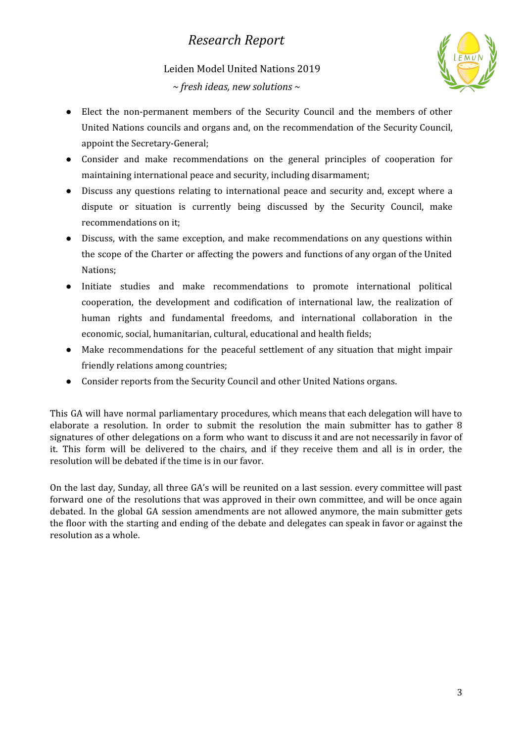### Leiden Model United Nations 2019 *~ fresh ideas, new solutions ~*



- Elect the non-permanent members of the Security Council and the members of other United Nations councils and organs and, on the recommendation of the Security Council, appoint the Secretary-General;
- Consider and make recommendations on the general principles of cooperation for maintaining international peace and security, including disarmament;
- Discuss any questions relating to international peace and security and, except where a dispute or situation is currently being discussed by the Security Council, make recommendations on it;
- Discuss, with the same exception, and make recommendations on any questions within the scope of the Charter or affecting the powers and functions of any organ of the United Nations;
- Initiate studies and make recommendations to promote international political cooperation, the development and codification of international law, the realization of human rights and fundamental freedoms, and international collaboration in the economic, social, humanitarian, cultural, educational and health fields;
- Make recommendations for the peaceful settlement of any situation that might impair friendly relations among countries;
- Consider reports from the Security Council and other United Nations organs.

This GA will have normal parliamentary procedures, which means that each delegation will have to elaborate a resolution. In order to submit the resolution the main submitter has to gather 8 signatures of other delegations on a form who want to discuss it and are not necessarily in favor of it. This form will be delivered to the chairs, and if they receive them and all is in order, the resolution will be debated if the time is in our favor.

On the last day, Sunday, all three GA's will be reunited on a last session. every committee will past forward one of the resolutions that was approved in their own committee, and will be once again debated. In the global GA session amendments are not allowed anymore, the main submitter gets the floor with the starting and ending of the debate and delegates can speak in favor or against the resolution as a whole.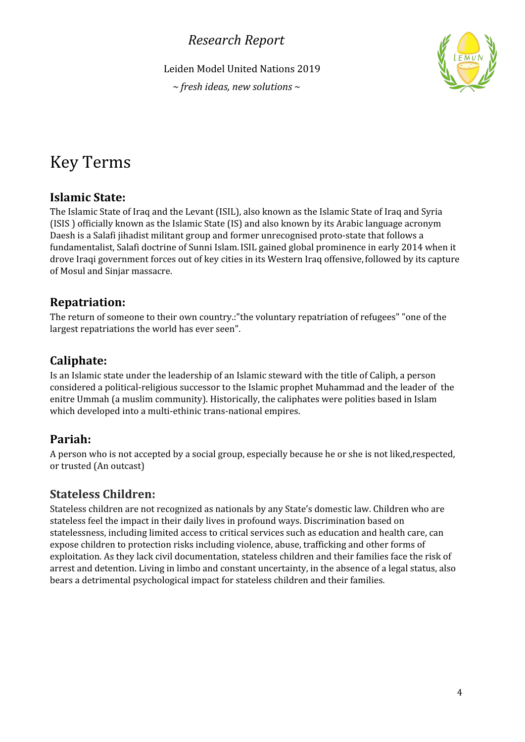Leiden Model United Nations 2019

*~ fresh ideas, new solutions ~*



# Key Terms

#### **Islamic State:**

The Islamic State of Iraq and the Levant (ISIL), also [known](https://en.wikipedia.org/wiki/Names_of_the_Islamic_State_of_Iraq_and_the_Levant) as the Islamic State of Iraq and Syria (ISIS ) officially known as the Islamic State (IS) and also known by its [Arabic](https://en.wikipedia.org/wiki/Arabic) language acronym Daesh is a Salafi [jihadist](https://en.wikipedia.org/wiki/Salafi_jihadism) militant group and former [unrecognised](https://en.wikipedia.org/wiki/Diplomatic_recognition) proto-state that follows a fundamentalist, Salafi doctrine of [Sunni](https://en.wikipedia.org/wiki/Sunni_Islam) Islam.ISIL gained global prominence in early 2014 when it drove Iraqi [government](https://en.wikipedia.org/wiki/Iraqi_security_forces) forces out of key cities in its Western Iraq offensive,followed by its capture of Mosul and Sinjar massacre.

### **Repatriation:**

The return of someone to their own country.:"the voluntary repatriation of refugees" "one of the largest repatriations the world has ever seen".

## **Caliphate:**

Is an Islamic state under the leadership of an Islamic steward with the title of Caliph, a person considered a political-religious successor to the Islamic prophet Muhammad and the leader of the enitre Ummah (a muslim community). Historically, the caliphates were polities based in Islam which developed into a multi-ethinic trans-national empires.

## **Pariah:**

A person who is not accepted by a social group, especially because he or she is not liked,respected, or trusted (An outcast)

## **Stateless Children:**

Stateless children are not recognized as nationals by any State's domestic law. Children who are stateless feel the impact in their daily lives in profound ways. Discrimination based on statelessness, including limited access to critical services such as education and health care, can expose children to protection risks including violence, abuse, trafficking and other forms of exploitation. As they lack civil documentation, stateless children and their families face the risk of arrest and detention. Living in limbo and constant uncertainty, in the absence of a legal status, also bears a detrimental psychological impact for stateless children and their families.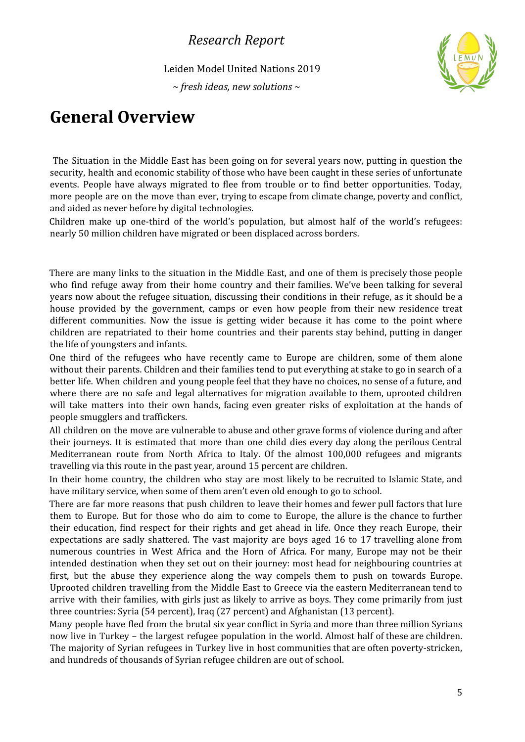Leiden Model United Nations 2019

*~ fresh ideas, new solutions ~*



# **General Overview**

The Situation in the Middle East has been going on for several years now, putting in question the security, health and economic stability of those who have been caught in these series of unfortunate events. People have always migrated to flee from trouble or to find better opportunities. Today, more people are on the move than ever, trying to escape from climate change, poverty and conflict, and aided as never before by digital technologies.

Children make up one-third of the world's population, but almost half of the world's refugees: nearly 50 million children have migrated or been displaced across borders.

There are many links to the situation in the Middle East, and one of them is precisely those people who find refuge away from their home country and their families. We've been talking for several years now about the refugee situation, discussing their conditions in their refuge, as it should be a house provided by the government, camps or even how people from their new residence treat different communities. Now the issue is getting wider because it has come to the point where children are repatriated to their home countries and their parents stay behind, putting in danger the life of youngsters and infants.

One third of the refugees who have recently came to Europe are children, some of them alone without their parents. Children and their families tend to put everything at stake to go in search of a better life. When children and young people feel that they have no choices, no sense of a future, and where there are no safe and legal alternatives for migration available to them, uprooted children will take matters into their own hands, facing even greater risks of exploitation at the hands of people smugglers and traffickers.

All children on the move are vulnerable to abuse and other grave forms of violence during and after their journeys. It is estimated that more than one child dies every day along the perilous Central Mediterranean route from North Africa to Italy. Of the almost 100,000 refugees and migrants travelling via this route in the past year, around 15 percent are children.

In their home country, the children who stay are most likely to be recruited to Islamic State, and have military service, when some of them aren't even old enough to go to school.

There are far more reasons that push children to leave their homes and fewer pull factors that lure them to Europe. But for those who do aim to come to Europe, the allure is the chance to further their education, find respect for their rights and get ahead in life. Once they reach Europe, their expectations are sadly shattered. The vast majority are boys aged 16 to 17 travelling alone from numerous countries in West Africa and the Horn of Africa. For many, Europe may not be their intended destination when they set out on their journey: most head for neighbouring countries at first, but the abuse they experience along the way compels them to push on towards Europe. Uprooted children travelling from the Middle East to Greece via the eastern Mediterranean tend to arrive with their families, with girls just as likely to arrive as boys. They come primarily from just three countries: Syria (54 percent), Iraq (27 percent) and Afghanistan (13 percent).

Many people have fled from the brutal six year conflict in Syria and more than three million Syrians now live in Turkey – the largest refugee population in the world. Almost half of these are children. The majority of Syrian refugees in Turkey live in host communities that are often poverty-stricken, and hundreds of thousands of Syrian refugee children are out of school.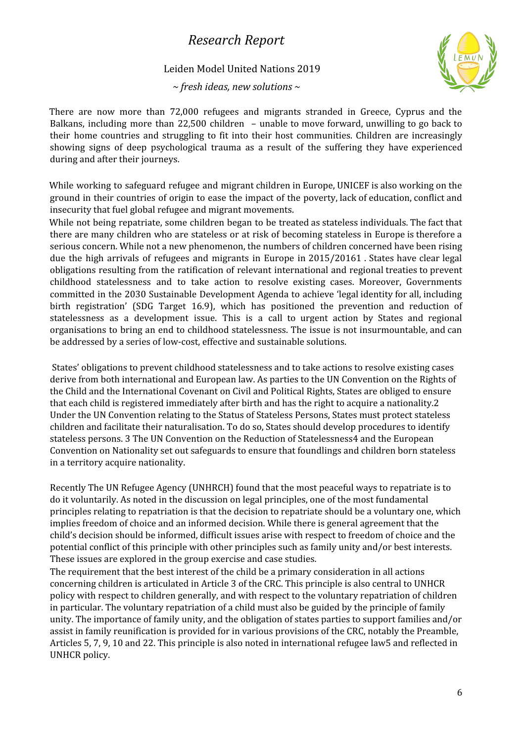#### Leiden Model United Nations 2019

*~ fresh ideas, new solutions ~*



There are now more than 72,000 refugees and migrants stranded in Greece, Cyprus and the Balkans, including more than 22,500 children – unable to move forward, unwilling to go back to their home countries and struggling to fit into their host communities. Children are increasingly showing signs of deep psychological trauma as a result of the suffering they have experienced during and after their journeys.

While working to safeguard refugee and migrant children in Europe, UNICEF is also working on the ground in their countries of origin to ease the impact of the poverty, lack of education, conflict and insecurity that fuel global refugee and migrant movements.

While not being repatriate, some children began to be treated as stateless individuals. The fact that there are many children who are stateless or at risk of becoming stateless in Europe is therefore a serious concern. While not a new phenomenon, the numbers of children concerned have been rising due the high arrivals of refugees and migrants in Europe in 2015/20161 . States have clear legal obligations resulting from the ratification of relevant international and regional treaties to prevent childhood statelessness and to take action to resolve existing cases. Moreover, Governments committed in the 2030 Sustainable Development Agenda to achieve 'legal identity for all, including birth registration' (SDG Target 16.9), which has positioned the prevention and reduction of statelessness as a development issue. This is a call to urgent action by States and regional organisations to bring an end to childhood statelessness. The issue is not insurmountable, and can be addressed by a series of low-cost, effective and sustainable solutions.

States' obligations to prevent childhood statelessness and to take actions to resolve existing cases derive from both international and European law. As parties to the UN Convention on the Rights of the Child and the International Covenant on Civil and Political Rights, States are obliged to ensure that each child is registered immediately after birth and has the right to acquire a nationality.2 Under the UN Convention relating to the Status of Stateless Persons, States must protect stateless children and facilitate their naturalisation. To do so, States should develop procedures to identify stateless persons. 3 The UN Convention on the Reduction of Statelessness4 and the European Convention on Nationality set out safeguards to ensure that foundlings and children born stateless in a territory acquire nationality.

Recently The UN Refugee Agency (UNHRCH) found that the most peaceful ways to repatriate is to do it voluntarily. As noted in the discussion on legal principles, one of the most fundamental principles relating to repatriation is that the decision to repatriate should be a voluntary one, which implies freedom of choice and an informed decision. While there is general agreement that the child's decision should be informed, difficult issues arise with respect to freedom of choice and the potential conflict of this principle with other principles such as family unity and/or best interests. These issues are explored in the group exercise and case studies.

The requirement that the best interest of the child be a primary consideration in all actions concerning children is articulated in Article 3 of the CRC. This principle is also central to UNHCR policy with respect to children generally, and with respect to the voluntary repatriation of children in particular. The voluntary repatriation of a child must also be guided by the principle of family unity. The importance of family unity, and the obligation of states parties to support families and/or assist in family reunification is provided for in various provisions of the CRC, notably the Preamble, Articles 5, 7, 9, 10 and 22. This principle is also noted in international refugee law5 and reflected in UNHCR policy.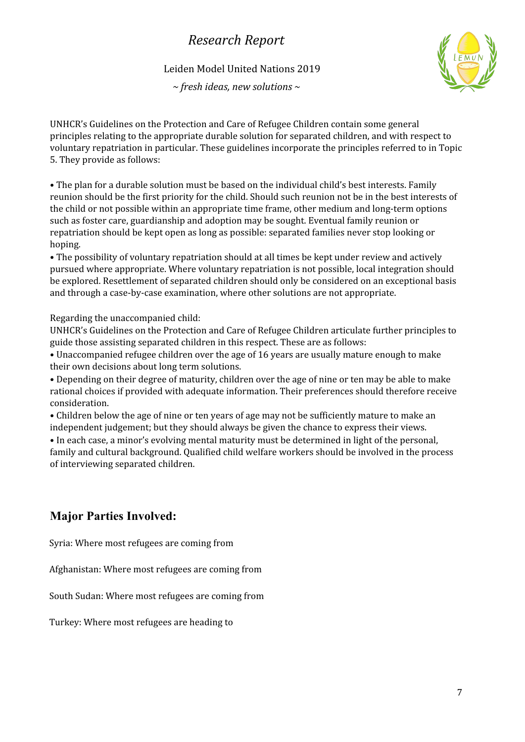Leiden Model United Nations 2019

*~ fresh ideas, new solutions ~*



UNHCR's Guidelines on the Protection and Care of Refugee Children contain some general principles relating to the appropriate durable solution for separated children, and with respect to voluntary repatriation in particular. These guidelines incorporate the principles referred to in Topic 5. They provide as follows:

• The plan for a durable solution must be based on the individual child's best interests. Family reunion should be the first priority for the child. Should such reunion not be in the best interests of the child or not possible within an appropriate time frame, other medium and long-term options such as foster care, guardianship and adoption may be sought. Eventual family reunion or repatriation should be kept open as long as possible: separated families never stop looking or hoping.

• The possibility of voluntary repatriation should at all times be kept under review and actively pursued where appropriate. Where voluntary repatriation is not possible, local integration should be explored. Resettlement of separated children should only be considered on an exceptional basis and through a case-by-case examination, where other solutions are not appropriate.

Regarding the unaccompanied child:

UNHCR's Guidelines on the Protection and Care of Refugee Children articulate further principles to guide those assisting separated children in this respect. These are as follows:

• Unaccompanied refugee children over the age of 16 years are usually mature enough to make their own decisions about long term solutions.

• Depending on their degree of maturity, children over the age of nine or ten may be able to make rational choices if provided with adequate information. Their preferences should therefore receive consideration.

• Children below the age of nine or ten years of age may not be sufficiently mature to make an independent judgement; but they should always be given the chance to express their views.

• In each case, a minor's evolving mental maturity must be determined in light of the personal, family and cultural background. Qualified child welfare workers should be involved in the process of interviewing separated children.

## **Major Parties Involved:**

Syria: Where most refugees are coming from

Afghanistan: Where most refugees are coming from

South Sudan: Where most refugees are coming from

Turkey: Where most refugees are heading to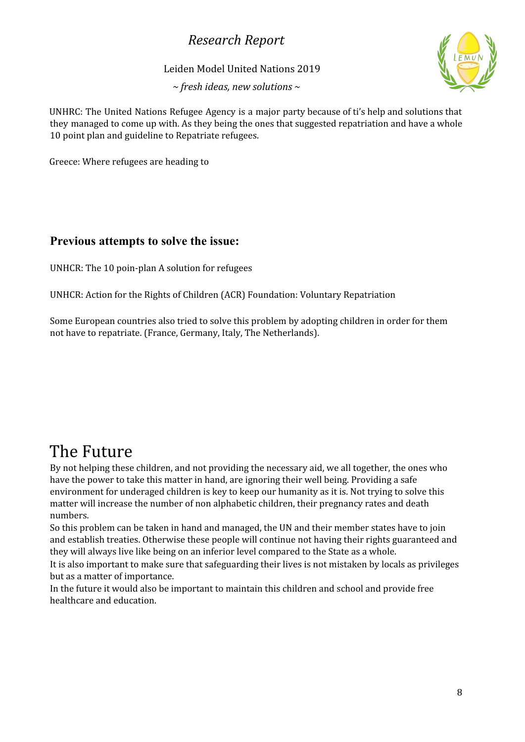Leiden Model United Nations 2019

*~ fresh ideas, new solutions ~*



UNHRC: The United Nations Refugee Agency is a major party because of ti's help and solutions that they managed to come up with. As they being the ones that suggested repatriation and have a whole 10 point plan and guideline to Repatriate refugees.

Greece: Where refugees are heading to

#### **Previous attempts to solve the issue:**

UNHCR: The 10 poin-plan A solution for refugees

UNHCR: Action for the Rights of Children (ACR) Foundation: Voluntary Repatriation

Some European countries also tried to solve this problem by adopting children in order for them not have to repatriate. (France, Germany, Italy, The Netherlands).

# The Future

By not helping these children, and not providing the necessary aid, we all together, the ones who have the power to take this matter in hand, are ignoring their well being. Providing a safe environment for underaged children is key to keep our humanity as it is. Not trying to solve this matter will increase the number of non alphabetic children, their pregnancy rates and death numbers.

So this problem can be taken in hand and managed, the UN and their member states have to join and establish treaties. Otherwise these people will continue not having their rights guaranteed and they will always live like being on an inferior level compared to the State as a whole.

It is also important to make sure that safeguarding their lives is not mistaken by locals as privileges but as a matter of importance.

In the future it would also be important to maintain this children and school and provide free healthcare and education.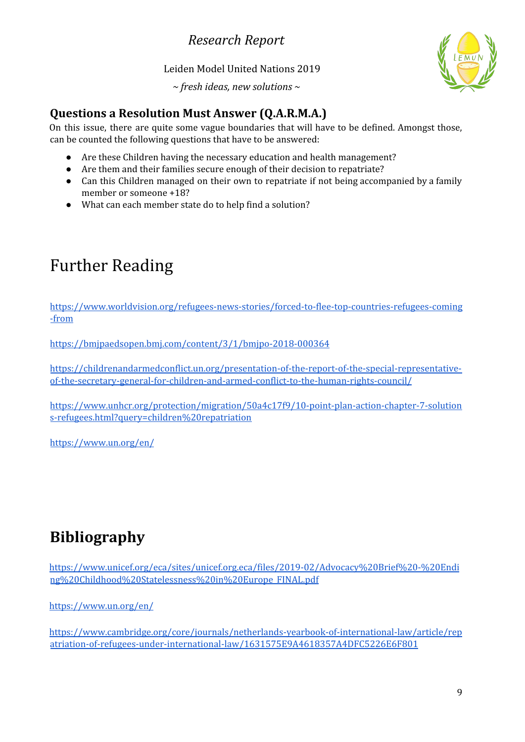Leiden Model United Nations 2019



*~ fresh ideas, new solutions ~*

#### **Questions a Resolution Must Answer (Q.A.R.M.A.)**

On this issue, there are quite some vague boundaries that will have to be defined. Amongst those, can be counted the following questions that have to be answered:

- Are these Children having the necessary education and health management?
- Are them and their families secure enough of their decision to repatriate?
- Can this Children managed on their own to repatriate if not being accompanied by a family member or someone +18?
- What can each member state do to help find a solution?

# Further Reading

[https://www.worldvision.org/refugees-news-stories/forced-to-flee-top-countries-refugees-coming](https://www.worldvision.org/refugees-news-stories/forced-to-flee-top-countries-refugees-coming-from) [-from](https://www.worldvision.org/refugees-news-stories/forced-to-flee-top-countries-refugees-coming-from)

<https://bmjpaedsopen.bmj.com/content/3/1/bmjpo-2018-000364>

[https://childrenandarmedconflict.un.org/presentation-of-the-report-of-the-special-representative](https://childrenandarmedconflict.un.org/presentation-of-the-report-of-the-special-representative-of-the-secretary-general-for-children-and-armed-conflict-to-the-human-rights-council/)[of-the-secretary-general-for-children-and-armed-conflict-to-the-human-rights-council/](https://childrenandarmedconflict.un.org/presentation-of-the-report-of-the-special-representative-of-the-secretary-general-for-children-and-armed-conflict-to-the-human-rights-council/)

[https://www.unhcr.org/protection/migration/50a4c17f9/10-point-plan-action-chapter-7-solution](https://www.unhcr.org/protection/migration/50a4c17f9/10-point-plan-action-chapter-7-solutions-refugees.html?query=children%20repatriation) [s-refugees.html?query=children%20repatriation](https://www.unhcr.org/protection/migration/50a4c17f9/10-point-plan-action-chapter-7-solutions-refugees.html?query=children%20repatriation)

<https://www.un.org/en/>

# **Bibliography**

[https://www.unicef.org/eca/sites/unicef.org.eca/files/2019-02/Advocacy%20Brief%20-%20Endi](https://www.unicef.org/eca/sites/unicef.org.eca/files/2019-02/Advocacy%20Brief%20-%20Ending%20Childhood%20Statelessness%20in%20Europe_FINAL.pdf) [ng%20Childhood%20Statelessness%20in%20Europe\\_FINAL.pdf](https://www.unicef.org/eca/sites/unicef.org.eca/files/2019-02/Advocacy%20Brief%20-%20Ending%20Childhood%20Statelessness%20in%20Europe_FINAL.pdf)

<https://www.un.org/en/>

[https://www.cambridge.org/core/journals/netherlands-yearbook-of-international-law/article/rep](https://www.cambridge.org/core/journals/netherlands-yearbook-of-international-law/article/repatriation-of-refugees-under-international-law/1631575E9A4618357A4DFC5226E6F801) [atriation-of-refugees-under-international-law/1631575E9A4618357A4DFC5226E6F801](https://www.cambridge.org/core/journals/netherlands-yearbook-of-international-law/article/repatriation-of-refugees-under-international-law/1631575E9A4618357A4DFC5226E6F801)